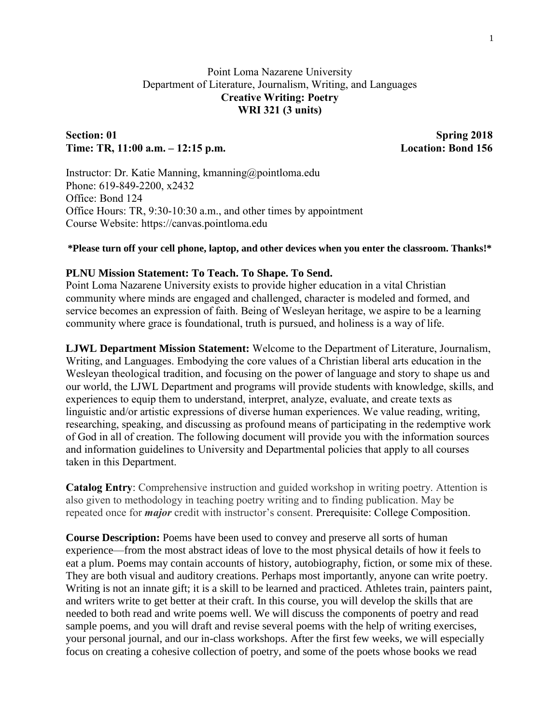## Point Loma Nazarene University Department of Literature, Journalism, Writing, and Languages **Creative Writing: Poetry WRI 321 (3 units)**

## Section: 01 Spring 2018 **Time: TR, 11:00 a.m. – 12:15 p.m. Location: Bond 156**

Instructor: Dr. Katie Manning, kmanning@pointloma.edu Phone: 619-849-2200, x2432 Office: Bond 124 Office Hours: TR, 9:30-10:30 a.m., and other times by appointment Course Website: https://canvas.pointloma.edu

#### **\*Please turn off your cell phone, laptop, and other devices when you enter the classroom. Thanks!\***

#### **PLNU Mission Statement: To Teach. To Shape. To Send.**

Point Loma Nazarene University exists to provide higher education in a vital Christian community where minds are engaged and challenged, character is modeled and formed, and service becomes an expression of faith. Being of Wesleyan heritage, we aspire to be a learning community where grace is foundational, truth is pursued, and holiness is a way of life.

**LJWL Department Mission Statement:** Welcome to the Department of Literature, Journalism, Writing, and Languages. Embodying the core values of a Christian liberal arts education in the Wesleyan theological tradition, and focusing on the power of language and story to shape us and our world, the LJWL Department and programs will provide students with knowledge, skills, and experiences to equip them to understand, interpret, analyze, evaluate, and create texts as linguistic and/or artistic expressions of diverse human experiences. We value reading, writing, researching, speaking, and discussing as profound means of participating in the redemptive work of God in all of creation. The following document will provide you with the information sources and information guidelines to University and Departmental policies that apply to all courses taken in this Department.

**Catalog Entry**: Comprehensive instruction and guided workshop in writing poetry. Attention is also given to methodology in teaching poetry writing and to finding publication. May be repeated once for *major* credit with instructor's consent. Prerequisite: College Composition.

**Course Description:** Poems have been used to convey and preserve all sorts of human experience—from the most abstract ideas of love to the most physical details of how it feels to eat a plum. Poems may contain accounts of history, autobiography, fiction, or some mix of these. They are both visual and auditory creations. Perhaps most importantly, anyone can write poetry. Writing is not an innate gift; it is a skill to be learned and practiced. Athletes train, painters paint, and writers write to get better at their craft. In this course, you will develop the skills that are needed to both read and write poems well. We will discuss the components of poetry and read sample poems, and you will draft and revise several poems with the help of writing exercises, your personal journal, and our in-class workshops. After the first few weeks, we will especially focus on creating a cohesive collection of poetry, and some of the poets whose books we read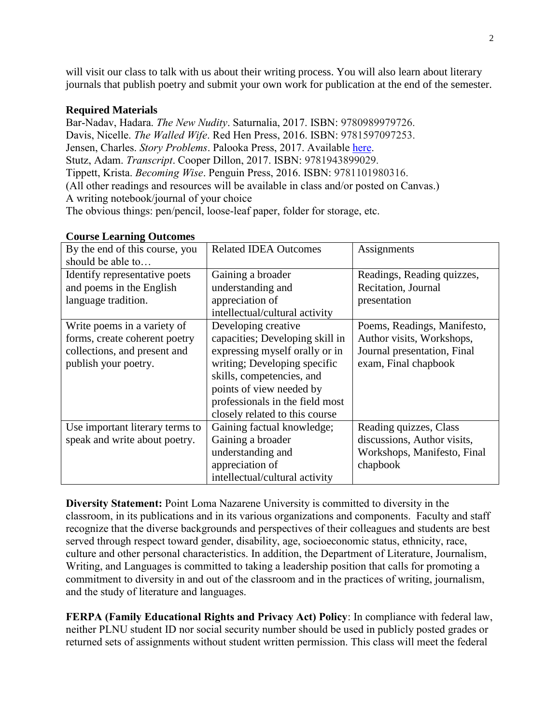will visit our class to talk with us about their writing process. You will also learn about literary journals that publish poetry and submit your own work for publication at the end of the semester.

### **Required Materials**

Bar-Nadav, Hadara. *The New Nudity*. Saturnalia, 2017. ISBN: 9780989979726. Davis, Nicelle. *The Walled Wife*. Red Hen Press, 2016. ISBN: 9781597097253. Jensen, Charles. *Story Problems*. Palooka Press, 2017. Available [here.](http://palookamag.com/chapbooks) Stutz, Adam. *Transcript*. Cooper Dillon, 2017. ISBN: 9781943899029. Tippett, Krista. *Becoming Wise*. Penguin Press, 2016. ISBN: 9781101980316. (All other readings and resources will be available in class and/or posted on Canvas.) A writing notebook/journal of your choice The obvious things: pen/pencil, loose-leaf paper, folder for storage, etc.

| By the end of this course, you  | <b>Related IDEA Outcomes</b>    | Assignments                 |
|---------------------------------|---------------------------------|-----------------------------|
| should be able to               |                                 |                             |
| Identify representative poets   | Gaining a broader               | Readings, Reading quizzes,  |
| and poems in the English        | understanding and               | Recitation, Journal         |
| language tradition.             | appreciation of                 | presentation                |
|                                 | intellectual/cultural activity  |                             |
| Write poems in a variety of     | Developing creative             | Poems, Readings, Manifesto, |
| forms, create coherent poetry   | capacities; Developing skill in | Author visits, Workshops,   |
| collections, and present and    | expressing myself orally or in  | Journal presentation, Final |
| publish your poetry.            | writing; Developing specific    | exam, Final chapbook        |
|                                 | skills, competencies, and       |                             |
|                                 | points of view needed by        |                             |
|                                 | professionals in the field most |                             |
|                                 | closely related to this course  |                             |
| Use important literary terms to | Gaining factual knowledge;      | Reading quizzes, Class      |
| speak and write about poetry.   | Gaining a broader               | discussions, Author visits, |
|                                 | understanding and               | Workshops, Manifesto, Final |
|                                 | appreciation of                 | chapbook                    |
|                                 | intellectual/cultural activity  |                             |

# **Course Learning Outcomes**

**Diversity Statement:** Point Loma Nazarene University is committed to diversity in the classroom, in its publications and in its various organizations and components. Faculty and staff recognize that the diverse backgrounds and perspectives of their colleagues and students are best served through respect toward gender, disability, age, socioeconomic status, ethnicity, race, culture and other personal characteristics. In addition, the Department of Literature, Journalism, Writing, and Languages is committed to taking a leadership position that calls for promoting a commitment to diversity in and out of the classroom and in the practices of writing, journalism, and the study of literature and languages.

**FERPA (Family Educational Rights and Privacy Act) Policy**: In compliance with federal law, neither PLNU student ID nor social security number should be used in publicly posted grades or returned sets of assignments without student written permission. This class will meet the federal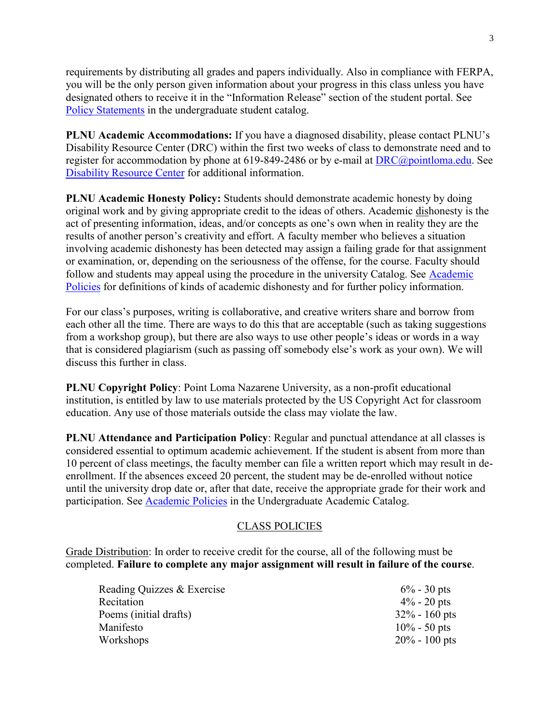requirements by distributing all grades and papers individually. Also in compliance with FERPA, you will be the only person given information about your progress in this class unless you have designated others to receive it in the "Information Release" section of the student portal. See [Policy Statements](http://catalog.pointloma.edu/content.php?catoid=8&navoid=864) in the undergraduate student catalog.

**PLNU Academic Accommodations:** If you have a diagnosed disability, please contact PLNU's Disability Resource Center (DRC) within the first two weeks of class to demonstrate need and to register for accommodation by phone at 619-849-2486 or by e-mail at [DRC@pointloma.edu.](mailto:DRC@pointloma.edu) See [Disability Resource Center](http://www.pointloma.edu/experience/offices/administrative-offices/academic-advising-office/disability-resource-center) for additional information.

**PLNU Academic Honesty Policy:** Students should demonstrate academic honesty by doing original work and by giving appropriate credit to the ideas of others. Academic dishonesty is the act of presenting information, ideas, and/or concepts as one's own when in reality they are the results of another person's creativity and effort. A faculty member who believes a situation involving academic dishonesty has been detected may assign a failing grade for that assignment or examination, or, depending on the seriousness of the offense, for the course. Faculty should follow and students may appeal using the procedure in the university Catalog. See [Academic](http://catalog.pointloma.edu/content.php?catoid=18&navoid=1278)  [Policies](http://catalog.pointloma.edu/content.php?catoid=18&navoid=1278) for definitions of kinds of academic dishonesty and for further policy information.

For our class's purposes, writing is collaborative, and creative writers share and borrow from each other all the time. There are ways to do this that are acceptable (such as taking suggestions from a workshop group), but there are also ways to use other people's ideas or words in a way that is considered plagiarism (such as passing off somebody else's work as your own). We will discuss this further in class.

**PLNU Copyright Policy**: Point Loma Nazarene University, as a non-profit educational institution, is entitled by law to use materials protected by the US Copyright Act for classroom education. Any use of those materials outside the class may violate the law.

**PLNU Attendance and Participation Policy**: Regular and punctual attendance at all classes is considered essential to optimum academic achievement. If the student is absent from more than 10 percent of class meetings, the faculty member can file a written report which may result in deenrollment. If the absences exceed 20 percent, the student may be de-enrolled without notice until the university drop date or, after that date, receive the appropriate grade for their work and participation. See [Academic Policies](http://catalog.pointloma.edu/content.php?catoid=18&navoid=1278) in the Undergraduate Academic Catalog.

# CLASS POLICIES

Grade Distribution: In order to receive credit for the course, all of the following must be completed. **Failure to complete any major assignment will result in failure of the course**.

| Reading Quizzes & Exercise | $6\%$ - 30 pts   |
|----------------------------|------------------|
| Recitation                 | $4\%$ - 20 pts   |
| Poems (initial drafts)     | $32\% - 160$ pts |
| Manifesto                  | $10\% - 50$ pts  |
| Workshops                  | $20\% - 100$ pts |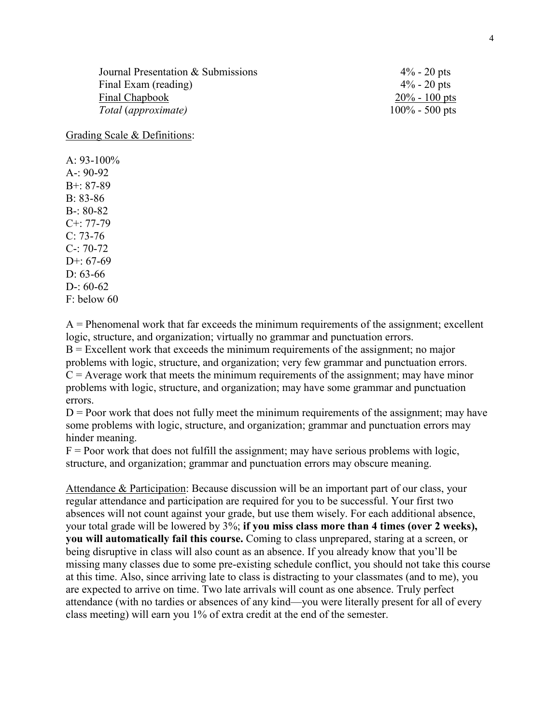| Journal Presentation & Submissions | $4\%$ - 20 pts    |
|------------------------------------|-------------------|
| Final Exam (reading)               | $4\%$ - 20 pts    |
| Final Chapbook                     | $20\% - 100$ pts  |
| Total (approximate)                | $100\% - 500$ pts |

Grading Scale & Definitions:

A:  $93-100\%$  $A-90-92$ B+: 87-89  $B. 83-86$ B-: 80-82 C+: 77-79 C: 73-76 C-: 70-72  $D+: 67-69$ D: 63-66 D-:  $60-62$ F: below 60

 $A =$  Phenomenal work that far exceeds the minimum requirements of the assignment; excellent logic, structure, and organization; virtually no grammar and punctuation errors.  $B =$  Excellent work that exceeds the minimum requirements of the assignment; no major problems with logic, structure, and organization; very few grammar and punctuation errors.  $C =$  Average work that meets the minimum requirements of the assignment; may have minor problems with logic, structure, and organization; may have some grammar and punctuation errors.

 $D =$  Poor work that does not fully meet the minimum requirements of the assignment; may have some problems with logic, structure, and organization; grammar and punctuation errors may hinder meaning.

 $F =$  Poor work that does not fulfill the assignment; may have serious problems with logic, structure, and organization; grammar and punctuation errors may obscure meaning.

Attendance & Participation: Because discussion will be an important part of our class, your regular attendance and participation are required for you to be successful. Your first two absences will not count against your grade, but use them wisely. For each additional absence, your total grade will be lowered by 3%; **if you miss class more than 4 times (over 2 weeks), you will automatically fail this course.** Coming to class unprepared, staring at a screen, or being disruptive in class will also count as an absence. If you already know that you'll be missing many classes due to some pre-existing schedule conflict, you should not take this course at this time. Also, since arriving late to class is distracting to your classmates (and to me), you are expected to arrive on time. Two late arrivals will count as one absence. Truly perfect attendance (with no tardies or absences of any kind—you were literally present for all of every class meeting) will earn you 1% of extra credit at the end of the semester.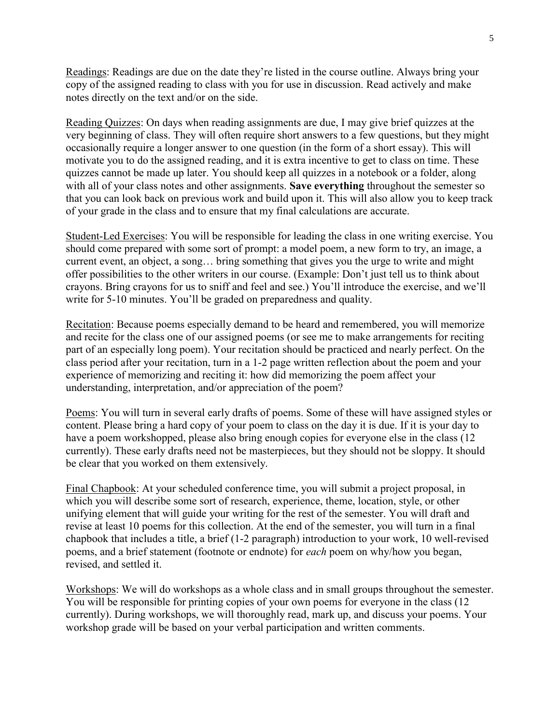Readings: Readings are due on the date they're listed in the course outline. Always bring your copy of the assigned reading to class with you for use in discussion. Read actively and make notes directly on the text and/or on the side.

Reading Quizzes: On days when reading assignments are due, I may give brief quizzes at the very beginning of class. They will often require short answers to a few questions, but they might occasionally require a longer answer to one question (in the form of a short essay). This will motivate you to do the assigned reading, and it is extra incentive to get to class on time. These quizzes cannot be made up later. You should keep all quizzes in a notebook or a folder, along with all of your class notes and other assignments. **Save everything** throughout the semester so that you can look back on previous work and build upon it. This will also allow you to keep track of your grade in the class and to ensure that my final calculations are accurate.

Student-Led Exercises: You will be responsible for leading the class in one writing exercise. You should come prepared with some sort of prompt: a model poem, a new form to try, an image, a current event, an object, a song… bring something that gives you the urge to write and might offer possibilities to the other writers in our course. (Example: Don't just tell us to think about crayons. Bring crayons for us to sniff and feel and see.) You'll introduce the exercise, and we'll write for 5-10 minutes. You'll be graded on preparedness and quality.

Recitation: Because poems especially demand to be heard and remembered, you will memorize and recite for the class one of our assigned poems (or see me to make arrangements for reciting part of an especially long poem). Your recitation should be practiced and nearly perfect. On the class period after your recitation, turn in a 1-2 page written reflection about the poem and your experience of memorizing and reciting it: how did memorizing the poem affect your understanding, interpretation, and/or appreciation of the poem?

Poems: You will turn in several early drafts of poems. Some of these will have assigned styles or content. Please bring a hard copy of your poem to class on the day it is due. If it is your day to have a poem workshopped, please also bring enough copies for everyone else in the class (12) currently). These early drafts need not be masterpieces, but they should not be sloppy. It should be clear that you worked on them extensively.

Final Chapbook: At your scheduled conference time, you will submit a project proposal, in which you will describe some sort of research, experience, theme, location, style, or other unifying element that will guide your writing for the rest of the semester. You will draft and revise at least 10 poems for this collection. At the end of the semester, you will turn in a final chapbook that includes a title, a brief (1-2 paragraph) introduction to your work, 10 well-revised poems, and a brief statement (footnote or endnote) for *each* poem on why/how you began, revised, and settled it.

Workshops: We will do workshops as a whole class and in small groups throughout the semester. You will be responsible for printing copies of your own poems for everyone in the class (12) currently). During workshops, we will thoroughly read, mark up, and discuss your poems. Your workshop grade will be based on your verbal participation and written comments.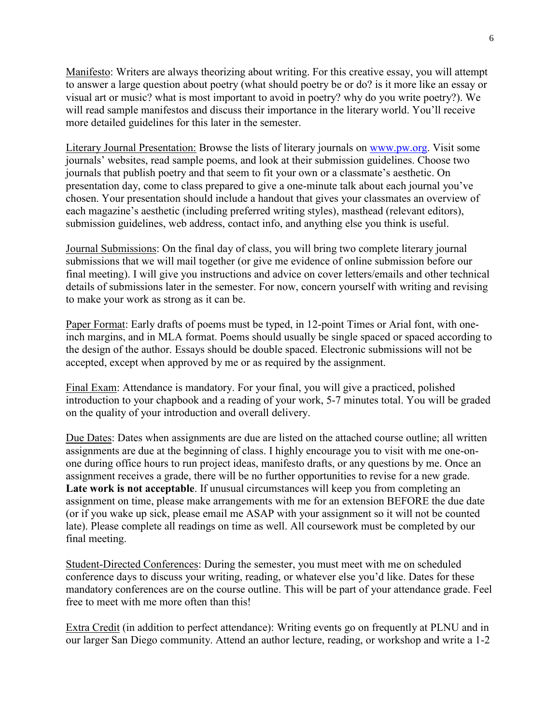Manifesto: Writers are always theorizing about writing. For this creative essay, you will attempt to answer a large question about poetry (what should poetry be or do? is it more like an essay or visual art or music? what is most important to avoid in poetry? why do you write poetry?). We will read sample manifestos and discuss their importance in the literary world. You'll receive more detailed guidelines for this later in the semester.

Literary Journal Presentation: Browse the lists of literary journals on [www.pw.org.](http://www.pw.org/) Visit some journals' websites, read sample poems, and look at their submission guidelines. Choose two journals that publish poetry and that seem to fit your own or a classmate's aesthetic. On presentation day, come to class prepared to give a one-minute talk about each journal you've chosen. Your presentation should include a handout that gives your classmates an overview of each magazine's aesthetic (including preferred writing styles), masthead (relevant editors), submission guidelines, web address, contact info, and anything else you think is useful.

Journal Submissions: On the final day of class, you will bring two complete literary journal submissions that we will mail together (or give me evidence of online submission before our final meeting). I will give you instructions and advice on cover letters/emails and other technical details of submissions later in the semester. For now, concern yourself with writing and revising to make your work as strong as it can be.

Paper Format: Early drafts of poems must be typed, in 12-point Times or Arial font, with oneinch margins, and in MLA format. Poems should usually be single spaced or spaced according to the design of the author. Essays should be double spaced. Electronic submissions will not be accepted, except when approved by me or as required by the assignment.

Final Exam: Attendance is mandatory. For your final, you will give a practiced, polished introduction to your chapbook and a reading of your work, 5-7 minutes total. You will be graded on the quality of your introduction and overall delivery.

Due Dates: Dates when assignments are due are listed on the attached course outline; all written assignments are due at the beginning of class. I highly encourage you to visit with me one-onone during office hours to run project ideas, manifesto drafts, or any questions by me. Once an assignment receives a grade, there will be no further opportunities to revise for a new grade. Late work is not acceptable. If unusual circumstances will keep you from completing an assignment on time, please make arrangements with me for an extension BEFORE the due date (or if you wake up sick, please email me ASAP with your assignment so it will not be counted late). Please complete all readings on time as well. All coursework must be completed by our final meeting.

Student-Directed Conferences: During the semester, you must meet with me on scheduled conference days to discuss your writing, reading, or whatever else you'd like. Dates for these mandatory conferences are on the course outline. This will be part of your attendance grade. Feel free to meet with me more often than this!

Extra Credit (in addition to perfect attendance): Writing events go on frequently at PLNU and in our larger San Diego community. Attend an author lecture, reading, or workshop and write a 1-2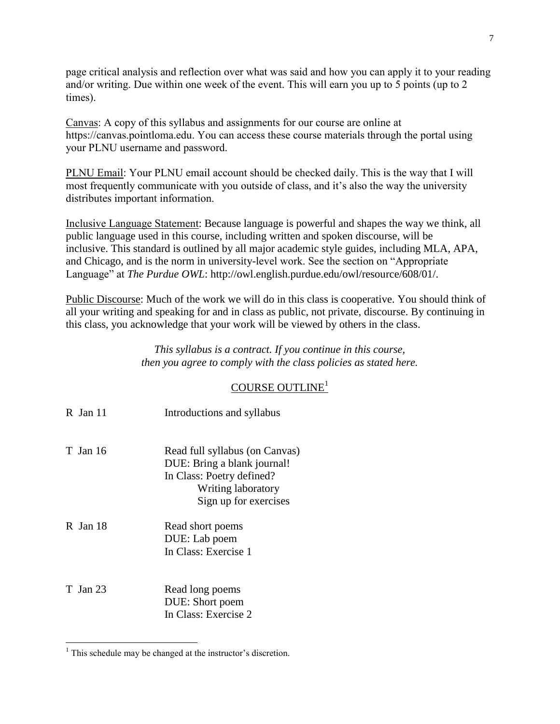page critical analysis and reflection over what was said and how you can apply it to your reading and/or writing. Due within one week of the event. This will earn you up to 5 points (up to 2 times).

Canvas: A copy of this syllabus and assignments for our course are online at https://canvas.pointloma.edu. You can access these course materials through the portal using your PLNU username and password.

PLNU Email: Your PLNU email account should be checked daily. This is the way that I will most frequently communicate with you outside of class, and it's also the way the university distributes important information.

Inclusive Language Statement: Because language is powerful and shapes the way we think, all public language used in this course, including written and spoken discourse, will be inclusive. This standard is outlined by all major academic style guides, including MLA, APA, and Chicago, and is the norm in university-level work. See the section on "Appropriate Language" at *The Purdue OWL*: http://owl.english.purdue.edu/owl/resource/608/01/.

Public Discourse: Much of the work we will do in this class is cooperative. You should think of all your writing and speaking for and in class as public, not private, discourse. By continuing in this class, you acknowledge that your work will be viewed by others in the class.

> *This syllabus is a contract. If you continue in this course, then you agree to comply with the class policies as stated here.*

### COURSE OUTLINE<sup>1</sup>

| $R$ Jan 11 | Introductions and syllabus                                                                                                                |
|------------|-------------------------------------------------------------------------------------------------------------------------------------------|
| T Jan 16   | Read full syllabus (on Canvas)<br>DUE: Bring a blank journal!<br>In Class: Poetry defined?<br>Writing laboratory<br>Sign up for exercises |
| $R$ Jan 18 | Read short poems<br>DUE: Lab poem<br>In Class: Exercise 1                                                                                 |
| T. Jan 23  | Read long poems<br>DUE: Short poem<br>In Class: Exercise 2                                                                                |

 $\overline{a}$ 

<sup>&</sup>lt;sup>1</sup> This schedule may be changed at the instructor's discretion.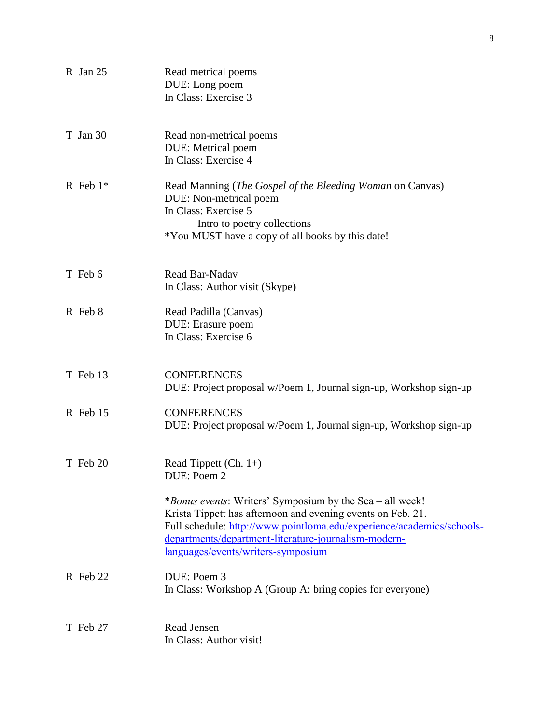| $R$ Jan 25 | Read metrical poems<br>DUE: Long poem<br>In Class: Exercise 3                                                                                                                                                                                                                                         |
|------------|-------------------------------------------------------------------------------------------------------------------------------------------------------------------------------------------------------------------------------------------------------------------------------------------------------|
| T Jan 30   | Read non-metrical poems<br>DUE: Metrical poem<br>In Class: Exercise 4                                                                                                                                                                                                                                 |
| R Feb $1*$ | Read Manning (The Gospel of the Bleeding Woman on Canvas)<br>DUE: Non-metrical poem<br>In Class: Exercise 5<br>Intro to poetry collections<br>*You MUST have a copy of all books by this date!                                                                                                        |
| T Feb 6    | Read Bar-Nadav<br>In Class: Author visit (Skype)                                                                                                                                                                                                                                                      |
| R Feb 8    | Read Padilla (Canvas)<br>DUE: Erasure poem<br>In Class: Exercise 6                                                                                                                                                                                                                                    |
| T Feb 13   | <b>CONFERENCES</b><br>DUE: Project proposal w/Poem 1, Journal sign-up, Workshop sign-up                                                                                                                                                                                                               |
| R Feb 15   | <b>CONFERENCES</b><br>DUE: Project proposal w/Poem 1, Journal sign-up, Workshop sign-up                                                                                                                                                                                                               |
| T Feb 20   | Read Tippett (Ch. $1+$ )<br>DUE: Poem 2                                                                                                                                                                                                                                                               |
|            | <i>*Bonus events:</i> Writers' Symposium by the Sea – all week!<br>Krista Tippett has afternoon and evening events on Feb. 21.<br>Full schedule: http://www.pointloma.edu/experience/academics/schools-<br>departments/department-literature-journalism-modern-<br>languages/events/writers-symposium |
| $R$ Feb 22 | DUE: Poem 3<br>In Class: Workshop A (Group A: bring copies for everyone)                                                                                                                                                                                                                              |
| T Feb 27   | Read Jensen<br>In Class: Author visit!                                                                                                                                                                                                                                                                |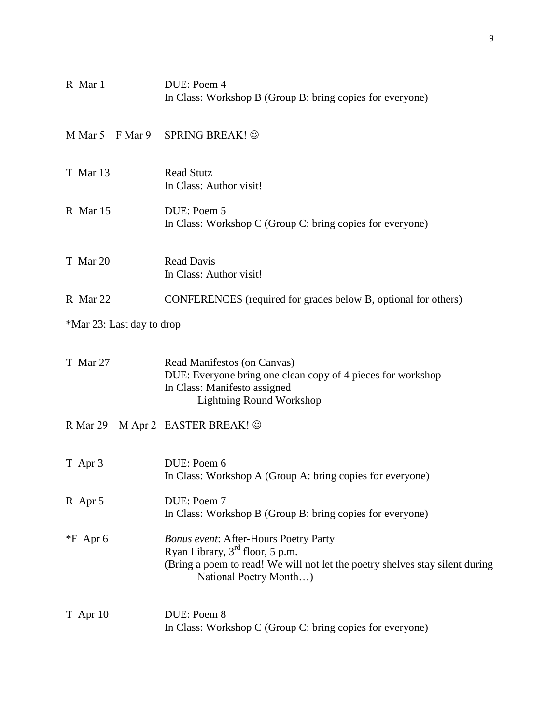| R Mar 1                   | DUE: Poem 4<br>In Class: Workshop B (Group B: bring copies for everyone)                                                                                                                    |
|---------------------------|---------------------------------------------------------------------------------------------------------------------------------------------------------------------------------------------|
| M Mar $5 - F$ Mar 9       | <b>SPRING BREAK! ©</b>                                                                                                                                                                      |
| T Mar 13                  | <b>Read Stutz</b><br>In Class: Author visit!                                                                                                                                                |
| R Mar 15                  | DUE: Poem 5<br>In Class: Workshop C (Group C: bring copies for everyone)                                                                                                                    |
| <b>T</b> Mar 20           | <b>Read Davis</b><br>In Class: Author visit!                                                                                                                                                |
| R Mar 22                  | CONFERENCES (required for grades below B, optional for others)                                                                                                                              |
| *Mar 23: Last day to drop |                                                                                                                                                                                             |
| T Mar 27                  | Read Manifestos (on Canvas)<br>DUE: Everyone bring one clean copy of 4 pieces for workshop<br>In Class: Manifesto assigned<br><b>Lightning Round Workshop</b>                               |
|                           | R Mar 29 – M Apr 2 EASTER BREAK! ©                                                                                                                                                          |
| T Apr 3                   | DUE: Poem 6<br>In Class: Workshop A (Group A: bring copies for everyone)                                                                                                                    |
| R Apr 5                   | DUE: Poem 7<br>In Class: Workshop B (Group B: bring copies for everyone)                                                                                                                    |
| $*F$ Apr 6                | <b>Bonus event: After-Hours Poetry Party</b><br>Ryan Library, $3rd$ floor, 5 p.m.<br>(Bring a poem to read! We will not let the poetry shelves stay silent during<br>National Poetry Month) |
| T Apr 10                  | DUE: Poem 8<br>In Class: Workshop C (Group C: bring copies for everyone)                                                                                                                    |